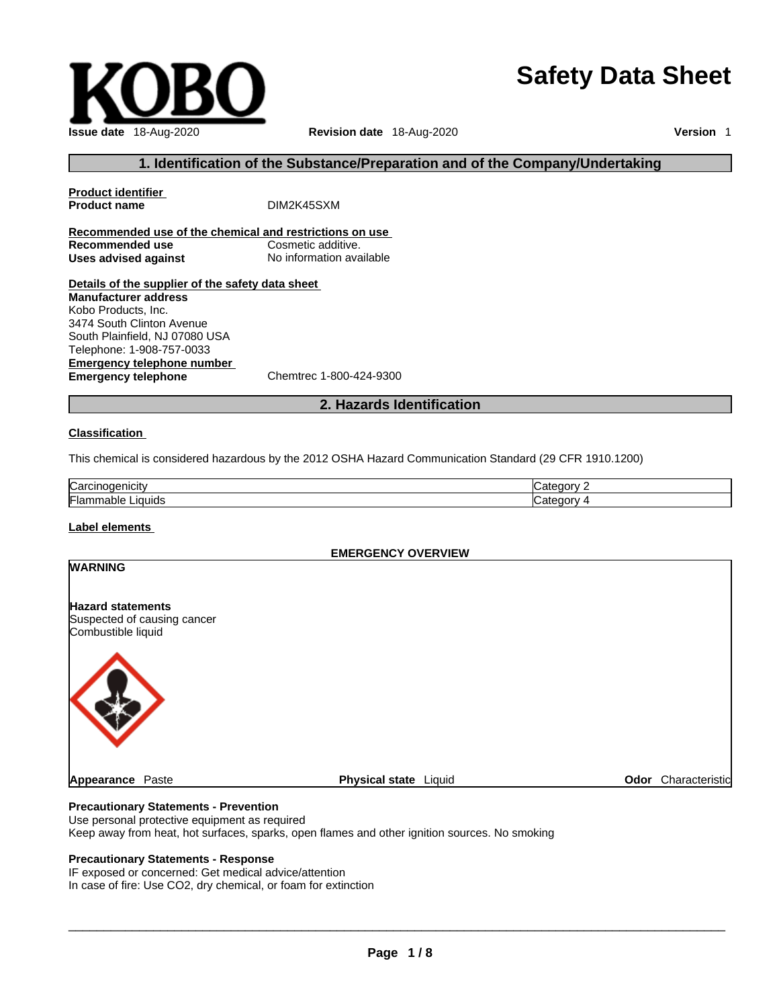# **Issue date** 18-Aug-2020 **Revision date** 18-Aug-2020 **Version** 1

# **Safety Data Sheet**

# **1. Identification of the Substance/Preparation and of the Company/Undertaking**

**Product identifier Product name** DIM2K45SXM **Recommended use of the chemical and restrictions on use Recommended use**<br> **Uses advised against**<br> **Uses advised against**<br> **No information available Uses** advised against **Details of the supplier of the safety data sheet Emergency telephone number**<br> **Emergency telephone**<br>
Chemtrec 1-800-424-9300 **Manufacturer address** Kobo Products, Inc. 3474 South Clinton Avenue South Plainfield, NJ 07080 USA Telephone: 1-908-757-0033

**Emergency telephone** 

# **2. Hazards Identification**

### **Classification**

This chemical is considered hazardous by the 2012 OSHA Hazard Communication Standard (29 CFR 1910.1200)

| ∽<br>∴ar<br>кж |  |
|----------------|--|
| Flar<br>iauid. |  |

### **Label elements**

### **EMERGENCY OVERVIEW**

| <b>WARNING</b>                                                                |                       |                     |
|-------------------------------------------------------------------------------|-----------------------|---------------------|
| <b>Hazard statements</b><br>Suspected of causing cancer<br>Combustible liquid |                       |                     |
|                                                                               |                       |                     |
| Appearance Paste                                                              | Physical state Liquid | Odor Characteristic |

### **Precautionary Statements - Prevention**

Use personal protective equipment as required

Keep away from heat, hot surfaces, sparks, open flames and other ignition sources. No smoking

# **Precautionary Statements - Response**

IF exposed or concerned: Get medical advice/attention In case of fire: Use CO2, dry chemical, or foam for extinction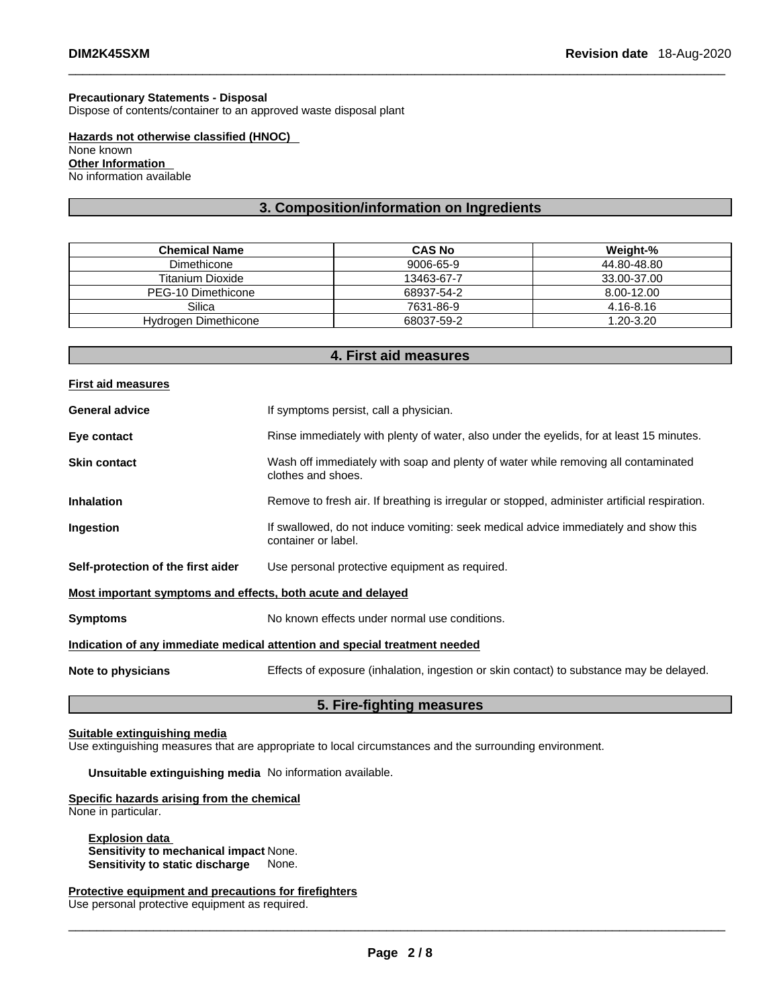# **Precautionary Statements - Disposal**

Dispose of contents/container to an approved waste disposal plant

**Hazards not otherwise classified (HNOC)**  None known **Other Information**  No information available

# **3. Composition/information on Ingredients**

| <b>Chemical Name</b> | <b>CAS No</b> | Weight-%    |
|----------------------|---------------|-------------|
| Dimethicone          | 9006-65-9     | 44.80-48.80 |
| Titanium Dioxide     | 13463-67-7    | 33.00-37.00 |
| PEG-10 Dimethicone   | 68937-54-2    | 8.00-12.00  |
| Silica               | 7631-86-9     | 4.16-8.16   |
| Hydrogen Dimethicone | 68037-59-2    | 1.20-3.20   |

# **4. First aid measures**

| Rinse immediately with plenty of water, also under the eyelids, for at least 15 minutes.      |  |  |
|-----------------------------------------------------------------------------------------------|--|--|
|                                                                                               |  |  |
| Remove to fresh air. If breathing is irregular or stopped, administer artificial respiration. |  |  |
|                                                                                               |  |  |
|                                                                                               |  |  |
| Most important symptoms and effects, both acute and delayed                                   |  |  |
|                                                                                               |  |  |
|                                                                                               |  |  |
| Effects of exposure (inhalation, ingestion or skin contact) to substance may be delayed.      |  |  |
|                                                                                               |  |  |

# **5. Fire-fighting measures**

# **Suitable extinguishing media**

Use extinguishing measures that are appropriate to local circumstances and the surrounding environment.

**Unsuitable extinguishing media** No information available.

### **Specific hazards arising from the chemical**

None in particular.

**Explosion data Sensitivity to mechanical impact** None. **Sensitivity to static discharge** 

# **Protective equipment and precautions for firefighters**

Use personal protective equipment as required.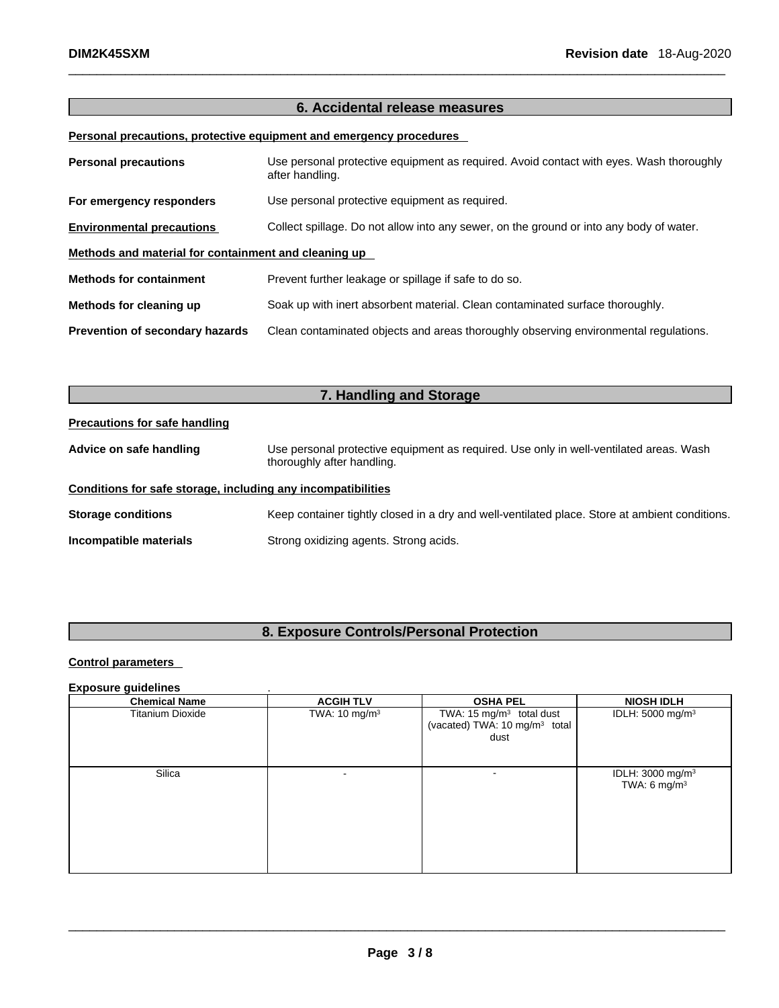# **6. Accidental release measures**

# **Personal precautions, protective equipment and emergency procedures**

| <b>Personal precautions</b>                          | Use personal protective equipment as required. Avoid contact with eyes. Wash thoroughly<br>after handling. |
|------------------------------------------------------|------------------------------------------------------------------------------------------------------------|
| For emergency responders                             | Use personal protective equipment as required.                                                             |
| <b>Environmental precautions</b>                     | Collect spillage. Do not allow into any sewer, on the ground or into any body of water.                    |
| Methods and material for containment and cleaning up |                                                                                                            |
| <b>Methods for containment</b>                       | Prevent further leakage or spillage if safe to do so.                                                      |
| Methods for cleaning up                              | Soak up with inert absorbent material. Clean contaminated surface thoroughly.                              |
| Prevention of secondary hazards                      | Clean contaminated objects and areas thoroughly observing environmental regulations.                       |

| 7. Handling and Storage                                      |                                                                                                                      |  |
|--------------------------------------------------------------|----------------------------------------------------------------------------------------------------------------------|--|
| <b>Precautions for safe handling</b>                         |                                                                                                                      |  |
| Advice on safe handling                                      | Use personal protective equipment as required. Use only in well-ventilated areas. Wash<br>thoroughly after handling. |  |
| Conditions for safe storage, including any incompatibilities |                                                                                                                      |  |
| <b>Storage conditions</b>                                    | Keep container tightly closed in a dry and well-ventilated place. Store at ambient conditions.                       |  |
| Incompatible materials                                       | Strong oxidizing agents. Strong acids.                                                                               |  |

# **8. Exposure Controls/Personal Protection**

# **Control parameters**

# **Exposure guidelines** .

| <b>Chemical Name</b>    | <b>ACGIH TLV</b>         | <b>OSHA PEL</b>                                                                           | <b>NIOSH IDLH</b>                               |
|-------------------------|--------------------------|-------------------------------------------------------------------------------------------|-------------------------------------------------|
| <b>Titanium Dioxide</b> | TWA: $10 \text{ mg/m}^3$ | TWA: 15 mg/m <sup>3</sup> total dust<br>(vacated) TWA: 10 mg/m <sup>3</sup> total<br>dust | IDLH: 5000 mg/m <sup>3</sup>                    |
| Silica                  |                          | ۰                                                                                         | IDLH: 3000 mg/m <sup>3</sup><br>TWA: 6 mg/m $3$ |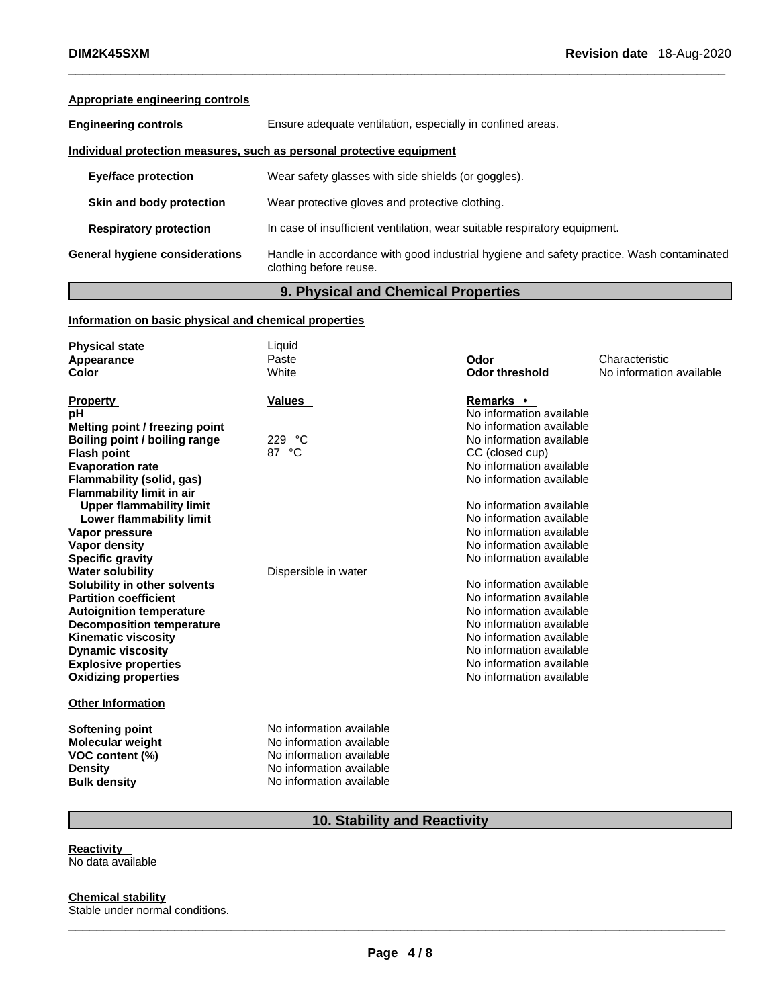# **Appropriate engineering controls**

| <b>Engineering controls</b>                                           | Ensure adequate ventilation, especially in confined areas.                                                         |  |
|-----------------------------------------------------------------------|--------------------------------------------------------------------------------------------------------------------|--|
| Individual protection measures, such as personal protective equipment |                                                                                                                    |  |
| <b>Eye/face protection</b>                                            | Wear safety glasses with side shields (or goggles).                                                                |  |
| Skin and body protection                                              | Wear protective gloves and protective clothing.                                                                    |  |
| <b>Respiratory protection</b>                                         | In case of insufficient ventilation, wear suitable respiratory equipment.                                          |  |
| General hygiene considerations                                        | Handle in accordance with good industrial hygiene and safety practice. Wash contaminated<br>clothing before reuse. |  |
|                                                                       |                                                                                                                    |  |

# **9. Physical and Chemical Properties**

# **Information on basic physical and chemical properties**

| <b>Physical state</b>            | Liquid                   |                          |                          |
|----------------------------------|--------------------------|--------------------------|--------------------------|
| Appearance                       | Paste                    | Odor                     | Characteristic           |
| Color                            | White                    | <b>Odor threshold</b>    | No information available |
|                                  |                          |                          |                          |
| <b>Property</b>                  | <b>Values</b>            | <b>Remarks</b> •         |                          |
| рH                               |                          | No information available |                          |
| Melting point / freezing point   |                          | No information available |                          |
| Boiling point / boiling range    | 229 °C                   | No information available |                          |
| <b>Flash point</b>               | 87 °C                    | CC (closed cup)          |                          |
| <b>Evaporation rate</b>          |                          | No information available |                          |
| Flammability (solid, gas)        |                          | No information available |                          |
| <b>Flammability limit in air</b> |                          |                          |                          |
| <b>Upper flammability limit</b>  |                          | No information available |                          |
| Lower flammability limit         |                          | No information available |                          |
| Vapor pressure                   |                          | No information available |                          |
| Vapor density                    |                          | No information available |                          |
| <b>Specific gravity</b>          |                          | No information available |                          |
| <b>Water solubility</b>          | Dispersible in water     |                          |                          |
| Solubility in other solvents     |                          | No information available |                          |
| <b>Partition coefficient</b>     |                          | No information available |                          |
| <b>Autoignition temperature</b>  |                          | No information available |                          |
| <b>Decomposition temperature</b> |                          | No information available |                          |
| <b>Kinematic viscosity</b>       |                          | No information available |                          |
| <b>Dynamic viscosity</b>         |                          | No information available |                          |
| <b>Explosive properties</b>      |                          | No information available |                          |
| <b>Oxidizing properties</b>      |                          | No information available |                          |
| <b>Other Information</b>         |                          |                          |                          |
| <b>Softening point</b>           | No information available |                          |                          |
| <b>Molecular weight</b>          | No information available |                          |                          |
| VOC content (%)                  | No information available |                          |                          |
| <b>Density</b>                   | No information available |                          |                          |
| <b>Bulk density</b>              | No information available |                          |                          |

# **10. Stability and Reactivity**

**Reactivity**  No data available

**Chemical stability**

Stable under normal conditions.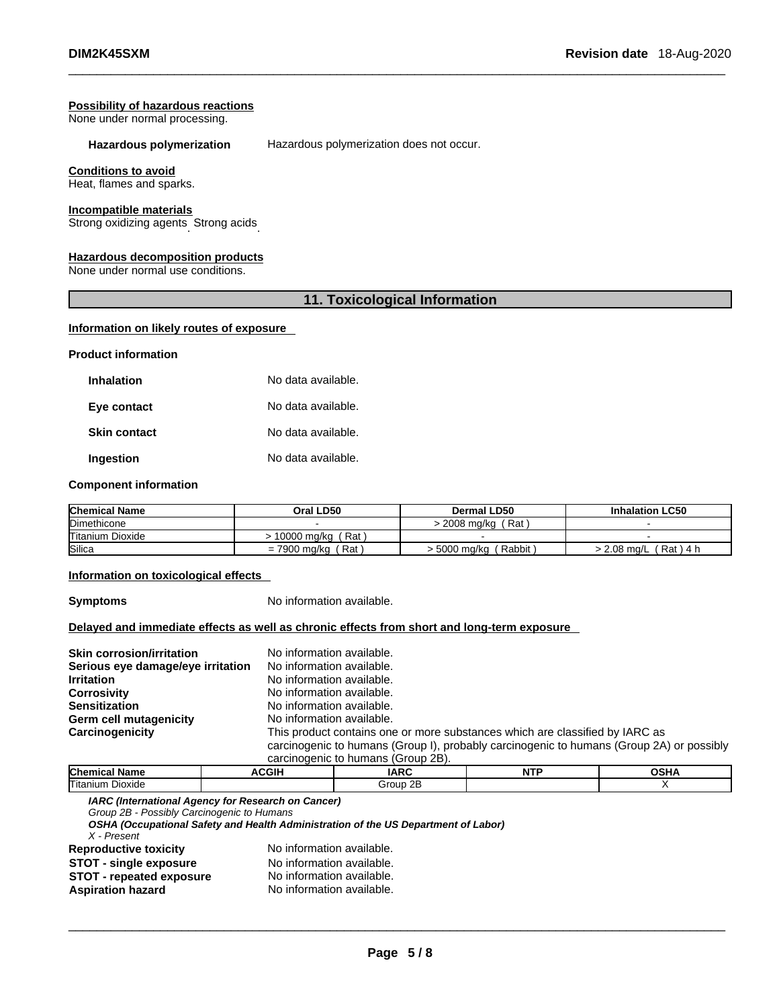### **Possibility of hazardous reactions**

None under normal processing.

**Hazardous polymerization** Hazardous polymerization does not occur.

### **Conditions to avoid**

Heat, flames and sparks.

### **Incompatible materials**

Strong oxidizing agents . Strong acids .

### **Hazardous decomposition products**

None under normal use conditions.

# **11. Toxicological Information**

### **Information on likely routes of exposure**

**Product information**

| <b>Inhalation</b>   | No data available. |
|---------------------|--------------------|
| Eye contact         | No data available. |
| <b>Skin contact</b> | No data available. |
| Ingestion           | No data available. |

# **Component information**

| <b>Chemical Name</b>    | Oral LD50            | Dermal LD50            | <b>Inhalation LC50</b>     |
|-------------------------|----------------------|------------------------|----------------------------|
| Dimethicone             |                      | Rat .<br>> 2008 ma/ka  |                            |
| <b>Titanium Dioxide</b> | . Rat<br>10000 mg/kg |                        |                            |
| <b>Silica</b>           | Rat<br>= 7900 mg/kg  | Rabbit<br>− 5000 mg/kg | $2.08$ ma/L<br>์ Rat ) 4 h |

### **Information on toxicological effects**

**Symptoms** No information available.

### **Delayed and immediate effects as well as chronic effects from short and long-term exposure**

| <b>Skin corrosion/irritation</b>  | No information available.                                                                |
|-----------------------------------|------------------------------------------------------------------------------------------|
|                                   |                                                                                          |
| Serious eye damage/eye irritation | No information available.                                                                |
| <b>Irritation</b>                 | No information available.                                                                |
| <b>Corrosivity</b>                | No information available.                                                                |
| <b>Sensitization</b>              | No information available.                                                                |
| Germ cell mutagenicity            | No information available.                                                                |
| Carcinogenicity                   | This product contains one or more substances which are classified by IARC as             |
|                                   | carcinogenic to humans (Group I), probably carcinogenic to humans (Group 2A) or possibly |
|                                   | carcinogenic to humans (Group 2B).                                                       |

| Chemic<br>name<br>וה. | CGIH | <b>ARC</b>         | NITE |  |
|-----------------------|------|--------------------|------|--|
| Titanium<br>Dioxide   |      | or<br>`roup.<br>יי |      |  |

*IARC (International Agency for Research on Cancer)*

*Group 2B - Possibly Carcinogenic to Humans* 

*OSHA (Occupational Safety and Health Administration of the US Department of Labor)*

*X - Present* 

**Reproductive toxicity** No information available. **STOT** - **single exposure** No information available.<br> **STOT** - **repeated exposure** No information available.

| <b>STOT - repeated exposure</b> |  | No information avai |  |
|---------------------------------|--|---------------------|--|

**Aspiration hazard** No information available.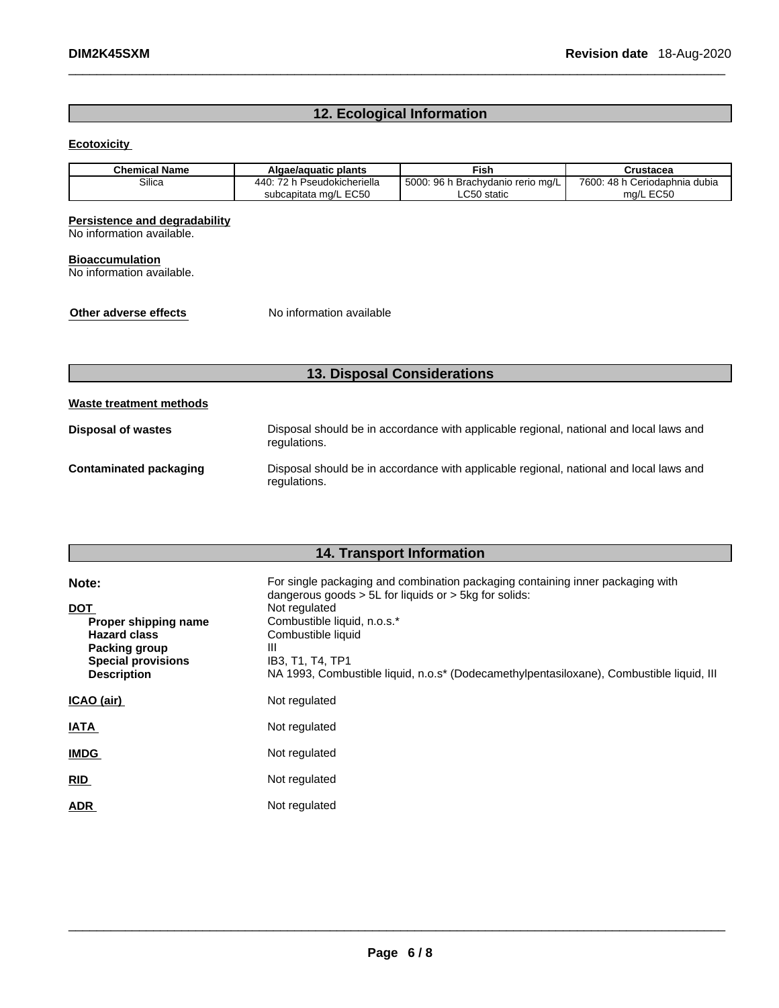# **12. Ecological Information**

## **Ecotoxicity**

| <b>Chemical Name</b> | Algae/aquatic plants        | Fish                              | Crustacea                     |
|----------------------|-----------------------------|-----------------------------------|-------------------------------|
| Silica               | 440: 72 h Pseudokicheriella | 5000: 96 h Brachydanio rerio mg/L | 7600: 48 h Ceriodaphnia dubia |
|                      | subcapitata mg/L EC50       | ∩50 static<br>∟∪งบ                | ma/L EC50                     |

# **Persistence and degradability**

No information available.

### **Bioaccumulation**

No information available.

**Other adverse effects** No information available

# **13. Disposal Considerations**

| Waste treatment methods |                                                                                                        |
|-------------------------|--------------------------------------------------------------------------------------------------------|
| Disposal of wastes      | Disposal should be in accordance with applicable regional, national and local laws and<br>regulations. |
| Contaminated packaging  | Disposal should be in accordance with applicable regional, national and local laws and<br>regulations. |

# **14. Transport Information**

| Note:                                                                                                                         | For single packaging and combination packaging containing inner packaging with<br>dangerous goods $> 5L$ for liquids or $> 5kq$ for solids:                                             |
|-------------------------------------------------------------------------------------------------------------------------------|-----------------------------------------------------------------------------------------------------------------------------------------------------------------------------------------|
| <b>DOT</b><br>Proper shipping name<br><b>Hazard class</b><br>Packing group<br><b>Special provisions</b><br><b>Description</b> | Not regulated<br>Combustible liquid, n.o.s.*<br>Combustible liquid<br>Ш<br>IB3, T1, T4, TP1<br>NA 1993, Combustible liquid, n.o.s* (Dodecamethylpentasiloxane), Combustible liquid, III |
| ICAO (air)                                                                                                                    | Not regulated                                                                                                                                                                           |
| <b>IATA</b>                                                                                                                   | Not regulated                                                                                                                                                                           |
| <b>IMDG</b>                                                                                                                   | Not regulated                                                                                                                                                                           |
| <b>RID</b>                                                                                                                    | Not regulated                                                                                                                                                                           |
| <b>ADR</b>                                                                                                                    | Not regulated                                                                                                                                                                           |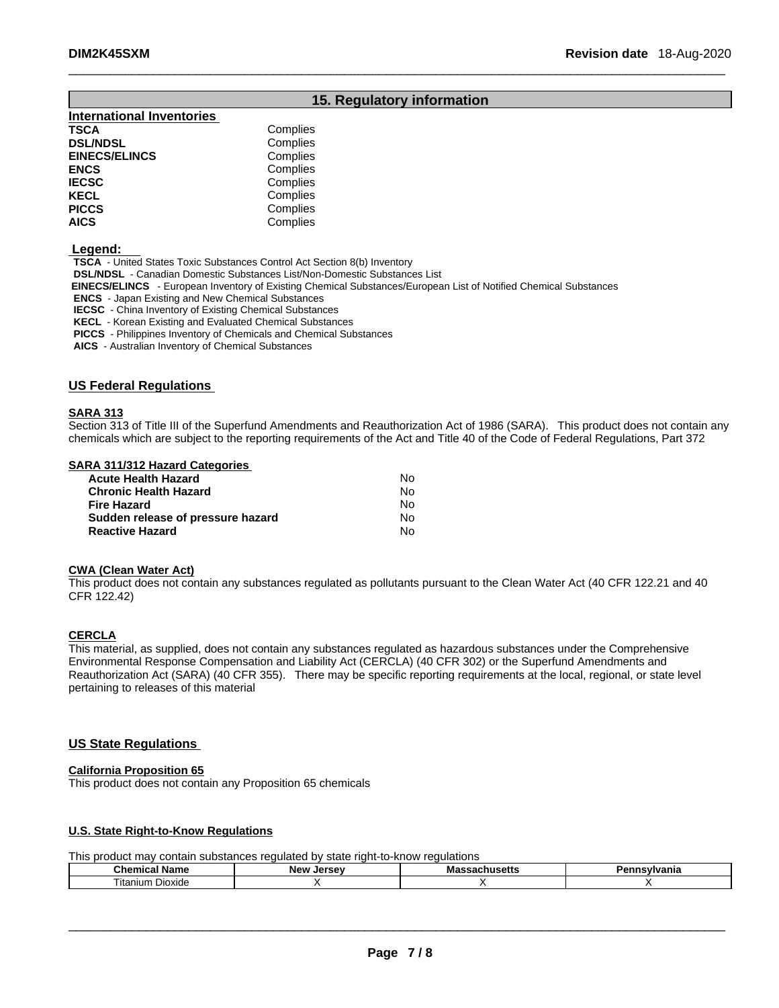# **15. Regulatory information**

| Complies |
|----------|
| Complies |
| Complies |
| Complies |
| Complies |
| Complies |
| Complies |
| Complies |
|          |

 **Legend:** 

**TSCA** - United States Toxic Substances Control Act Section 8(b) Inventory

**DSL/NDSL** - Canadian Domestic Substances List/Non-Domestic Substances List

 **EINECS/ELINCS** - European Inventory of Existing Chemical Substances/European List of Notified Chemical Substances

**ENCS** - Japan Existing and New Chemical Substances

**IECSC** - China Inventory of Existing Chemical Substances

**KECL** - Korean Existing and Evaluated Chemical Substances

**PICCS** - Philippines Inventory of Chemicals and Chemical Substances

**AICS** - Australian Inventory of Chemical Substances

### **US Federal Regulations**

### **SARA 313**

Section 313 of Title III of the Superfund Amendments and Reauthorization Act of 1986 (SARA). This product does not contain any chemicals which are subject to the reporting requirements of the Act and Title 40 of the Code of Federal Regulations, Part 372

### **SARA 311/312 Hazard Categories**

| <b>Acute Health Hazard</b>        | No. |
|-----------------------------------|-----|
| <b>Chronic Health Hazard</b>      | No. |
| Fire Hazard                       | N٥  |
| Sudden release of pressure hazard | N٥  |
| <b>Reactive Hazard</b>            | N٥  |

### **CWA** (Clean Water Act)

This product does not contain any substances regulated as pollutants pursuant to the Clean Water Act (40 CFR 122.21 and 40 CFR 122.42)

### **CERCLA**

This material, as supplied, does not contain any substances regulated as hazardous substances under the Comprehensive Environmental Response Compensation and Liability Act (CERCLA) (40 CFR 302) or the Superfund Amendments and Reauthorization Act (SARA) (40 CFR 355). There may be specific reporting requirements at the local, regional, or state level pertaining to releases of this material

# **US State Regulations**

### **California Proposition 65**

This product does not contain any Proposition 65 chemicals

### **U.S. State Right-to-Know Regulations**

This product may contain substances regulated by state right-to-know regulations

| Chemical<br>Nam⊾   | <b>Larcay</b><br><b>Nev</b><br>JE 1 | Mэ<br>IVIa<br>лиэспе | vania |
|--------------------|-------------------------------------|----------------------|-------|
| Dioxide<br>itanium |                                     |                      |       |